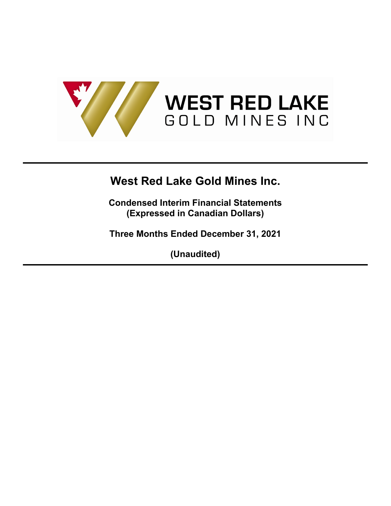

**Condensed Interim Financial Statements (Expressed in Canadian Dollars)**

**Three Months Ended December 31, 2021**

**(Unaudited)**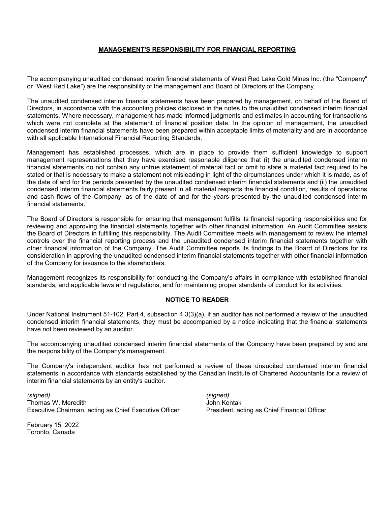## **MANAGEMENT'S RESPONSIBILITY FOR FINANCIAL REPORTING**

The accompanying unaudited condensed interim financial statements of West Red Lake Gold Mines Inc. (the "Company" or "West Red Lake") are the responsibility of the management and Board of Directors of the Company.

The unaudited condensed interim financial statements have been prepared by management, on behalf of the Board of Directors, in accordance with the accounting policies disclosed in the notes to the unaudited condensed interim financial statements. Where necessary, management has made informed judgments and estimates in accounting for transactions which were not complete at the statement of financial position date. In the opinion of management, the unaudited condensed interim financial statements have been prepared within acceptable limits of materiality and are in accordance with all applicable International Financial Reporting Standards.

Management has established processes, which are in place to provide them sufficient knowledge to support management representations that they have exercised reasonable diligence that (i) the unaudited condensed interim financial statements do not contain any untrue statement of material fact or omit to state a material fact required to be stated or that is necessary to make a statement not misleading in light of the circumstances under which it is made, as of the date of and for the periods presented by the unaudited condensed interim financial statements and (ii) the unaudited condensed interim financial statements fairly present in all material respects the financial condition, results of operations and cash flows of the Company, as of the date of and for the years presented by the unaudited condensed interim financial statements.

The Board of Directors is responsible for ensuring that management fulfills its financial reporting responsibilities and for reviewing and approving the financial statements together with other financial information. An Audit Committee assists the Board of Directors in fulfilling this responsibility. The Audit Committee meets with management to review the internal controls over the financial reporting process and the unaudited condensed interim financial statements together with other financial information of the Company. The Audit Committee reports its findings to the Board of Directors for its consideration in approving the unaudited condensed interim financial statements together with other financial information of the Company for issuance to the shareholders.

Management recognizes its responsibility for conducting the Company's affairs in compliance with established financial standards, and applicable laws and regulations, and for maintaining proper standards of conduct for its activities.

#### **NOTICE TO READER**

Under National Instrument 51-102, Part 4, subsection 4.3(3)(a), if an auditor has not performed a review of the unaudited condensed interim financial statements, they must be accompanied by a notice indicating that the financial statements have not been reviewed by an auditor.

The accompanying unaudited condensed interim financial statements of the Company have been prepared by and are the responsibility of the Company's management.

The Company's independent auditor has not performed a review of these unaudited condensed interim financial statements in accordance with standards established by the Canadian Institute of Chartered Accountants for a review of interim financial statements by an entity's auditor.

*(signed) (signed)* Thomas W. Meredith **John Kontak** John Kontak Executive Chairman, acting as Chief Executive Officer President, acting as Chief Financial Officer

February 15, 2022 Toronto, Canada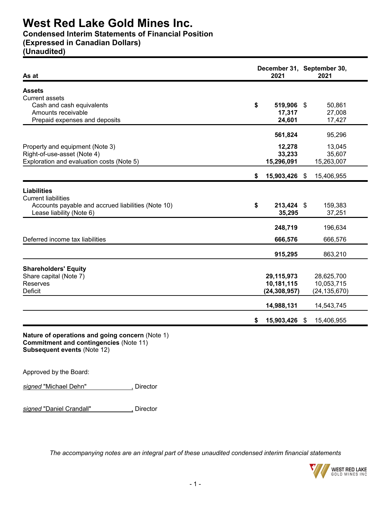# **Condensed Interim Statements of Financial Position**

# **(Expressed in Canadian Dollars)**

**(Unaudited)**

| As at                                                 | December 31, September 30,<br>2021 |                  |
|-------------------------------------------------------|------------------------------------|------------------|
| <b>Assets</b>                                         |                                    |                  |
| <b>Current assets</b>                                 |                                    |                  |
| Cash and cash equivalents                             | \$<br>519,906 \$                   | 50,861           |
| Amounts receivable                                    | 17,317                             | 27,008           |
| Prepaid expenses and deposits                         | 24,601                             | 17,427           |
|                                                       | 561,824                            | 95,296           |
| Property and equipment (Note 3)                       | 12,278                             | 13,045           |
| Right-of-use-asset (Note 4)                           | 33,233                             | 35,607           |
| Exploration and evaluation costs (Note 5)             | 15,296,091                         | 15,263,007       |
|                                                       | \$<br>15,903,426 \$                | 15,406,955       |
| <b>Liabilities</b>                                    |                                    |                  |
| <b>Current liabilities</b>                            |                                    |                  |
| Accounts payable and accrued liabilities (Note 10)    | \$<br>213,424 \$                   | 159,383          |
| Lease liability (Note 6)                              | 35,295                             | 37,251           |
|                                                       |                                    |                  |
|                                                       | 248,719                            | 196,634          |
| Deferred income tax liabilities                       | 666,576                            | 666,576          |
|                                                       | 915,295                            | 863,210          |
|                                                       |                                    |                  |
| <b>Shareholders' Equity</b><br>Share capital (Note 7) | 29,115,973                         | 28,625,700       |
| Reserves                                              | 10,181,115                         | 10,053,715       |
| Deficit                                               | (24, 308, 957)                     | (24, 135, 670)   |
|                                                       |                                    |                  |
|                                                       | 14,988,131                         | 14,543,745       |
|                                                       | \$<br>15,903,426                   | \$<br>15,406,955 |

**Subsequent events** (Note 12)

Approved by the Board:

**signed "Michael Dehn"** , Director

signed "Daniel Crandall" **Manual Crandall** Director

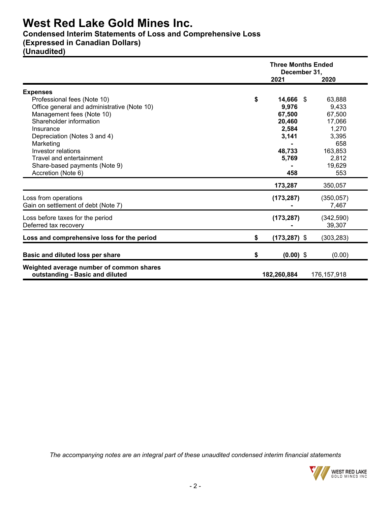# **Condensed Interim Statements of Loss and Comprehensive Loss**

# **(Expressed in Canadian Dollars)**

**(Unaudited)**

|                                                                             | <b>Three Months Ended</b><br>December 31, |                     |  |  |  |
|-----------------------------------------------------------------------------|-------------------------------------------|---------------------|--|--|--|
|                                                                             | 2021                                      | 2020                |  |  |  |
| <b>Expenses</b>                                                             |                                           |                     |  |  |  |
| Professional fees (Note 10)                                                 | \$<br>14,666 \$                           | 63,888              |  |  |  |
| Office general and administrative (Note 10)                                 | 9,976                                     | 9,433               |  |  |  |
| Management fees (Note 10)                                                   | 67,500                                    | 67,500              |  |  |  |
| Shareholder information                                                     | 20,460                                    | 17,066              |  |  |  |
| Insurance                                                                   | 2,584                                     | 1,270               |  |  |  |
| Depreciation (Notes 3 and 4)                                                | 3,141                                     | 3,395               |  |  |  |
| Marketing                                                                   |                                           | 658                 |  |  |  |
| Investor relations                                                          | 48,733                                    | 163,853             |  |  |  |
| Travel and entertainment                                                    | 5,769                                     | 2,812               |  |  |  |
| Share-based payments (Note 9)                                               |                                           | 19,629              |  |  |  |
| Accretion (Note 6)                                                          | 458                                       | 553                 |  |  |  |
|                                                                             | 173,287                                   | 350,057             |  |  |  |
| Loss from operations<br>Gain on settlement of debt (Note 7)                 | (173, 287)                                | (350, 057)<br>7,467 |  |  |  |
| Loss before taxes for the period                                            | (173, 287)                                | (342, 590)          |  |  |  |
| Deferred tax recovery                                                       |                                           | 39,307              |  |  |  |
| Loss and comprehensive loss for the period                                  | \$<br>$(173, 287)$ \$                     | (303, 283)          |  |  |  |
| Basic and diluted loss per share                                            | \$<br>$(0.00)$ \$                         | (0.00)              |  |  |  |
| Weighted average number of common shares<br>outstanding - Basic and diluted | 182,260,884                               | 176, 157, 918       |  |  |  |

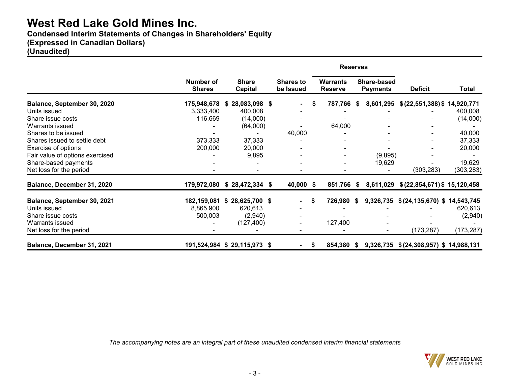**Condensed Interim Statements of Changes in Shareholders' Equity**

# **(Expressed in Canadian Dollars)**

**(Unaudited)**

|                                 |                            |                             |                               | <b>Reserves</b>                   |      |                                |                                       |            |
|---------------------------------|----------------------------|-----------------------------|-------------------------------|-----------------------------------|------|--------------------------------|---------------------------------------|------------|
|                                 | Number of<br><b>Shares</b> | <b>Share</b><br>Capital     | <b>Shares to</b><br>be Issued | <b>Warrants</b><br><b>Reserve</b> |      | Share-based<br><b>Payments</b> | <b>Deficit</b>                        | Total      |
| Balance, September 30, 2020     | 175,948,678                | 28,083,098 \$<br>S.         |                               | 787,766                           | - \$ | 8,601,295                      | \$ (22, 551, 388) \$ 14, 920, 771     |            |
| Units issued                    | 3,333,400                  | 400,008                     |                               |                                   |      |                                |                                       | 400,008    |
| Share issue costs               | 116,669                    | (14,000)                    |                               |                                   |      |                                |                                       | (14,000)   |
| Warrants issued                 |                            | (64,000)                    |                               | 64,000                            |      |                                |                                       |            |
| Shares to be issued             |                            |                             | 40,000                        |                                   |      |                                |                                       | 40,000     |
| Shares issued to settle debt    | 373,333                    | 37,333                      |                               |                                   |      |                                |                                       | 37,333     |
| Exercise of options             | 200,000                    | 20,000                      |                               |                                   |      |                                |                                       | 20,000     |
| Fair value of options exercised |                            | 9,895                       |                               |                                   |      | (9,895)                        |                                       |            |
| Share-based payments            |                            |                             |                               |                                   |      | 19,629                         |                                       | 19,629     |
| Net loss for the period         |                            |                             |                               |                                   |      |                                | (303, 283)                            | (303, 283) |
| Balance, December 31, 2020      | 179,972,080                | $$28,472,334$ \$            | 40,000 \$                     | 851,766 \$                        |      |                                | 8,611,029 \$(22,854,671) \$15,120,458 |            |
| Balance, September 30, 2021     | 182,159,081                | $$28,625,700$ \$            | $\blacksquare$                | \$<br>726,980                     | S.   | 9,326,735                      | \$(24, 135, 670) \$14, 543, 745       |            |
| Units issued                    | 8,865,900                  | 620,613                     |                               |                                   |      |                                |                                       | 620,613    |
| Share issue costs               | 500,003                    | (2,940)                     |                               |                                   |      |                                |                                       | (2,940)    |
| Warrants issued                 |                            | (127, 400)                  |                               | 127,400                           |      |                                |                                       |            |
| Net loss for the period         |                            |                             |                               |                                   |      |                                | (173, 287)                            | (173, 287) |
| Balance, December 31, 2021      |                            | 191,524,984 \$29,115,973 \$ |                               | \$<br>854,380                     | S.   | 9,326,735                      | \$(24,308,957) \$14,988,131           |            |

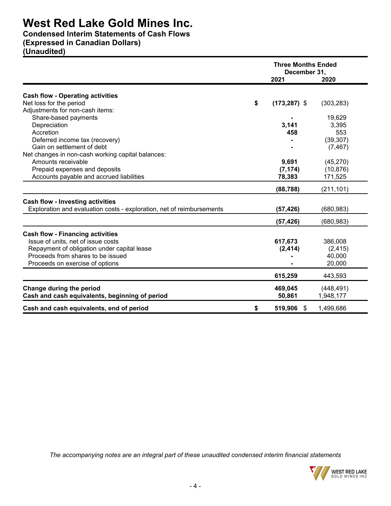**Condensed Interim Statements of Cash Flows**

# **(Expressed in Canadian Dollars)**

**(Unaudited)**

|                                                                       | <b>Three Months Ended</b><br>December 31, |            |
|-----------------------------------------------------------------------|-------------------------------------------|------------|
|                                                                       | 2021                                      | 2020       |
| <b>Cash flow - Operating activities</b>                               |                                           |            |
| Net loss for the period                                               | \$<br>$(173, 287)$ \$                     | (303, 283) |
| Adjustments for non-cash items:                                       |                                           |            |
| Share-based payments                                                  |                                           | 19,629     |
| Depreciation                                                          | 3,141                                     | 3,395      |
| Accretion                                                             | 458                                       | 553        |
| Deferred income tax (recovery)                                        |                                           | (39, 307)  |
| Gain on settlement of debt                                            |                                           | (7, 467)   |
| Net changes in non-cash working capital balances:                     |                                           |            |
| Amounts receivable                                                    | 9,691                                     | (45, 270)  |
| Prepaid expenses and deposits                                         | (7, 174)                                  | (10, 876)  |
| Accounts payable and accrued liabilities                              | 78,383                                    | 171,525    |
|                                                                       | (88, 788)                                 | (211, 101) |
| <b>Cash flow - Investing activities</b>                               |                                           |            |
| Exploration and evaluation costs - exploration, net of reimbursements | (57, 426)                                 | (680, 983) |
|                                                                       | (57, 426)                                 | (680, 983) |
| <b>Cash flow - Financing activities</b>                               |                                           |            |
| Issue of units, net of issue costs                                    | 617,673                                   | 386,008    |
| Repayment of obligation under capital lease                           | (2, 414)                                  | (2, 415)   |
| Proceeds from shares to be issued                                     |                                           | 40,000     |
| Proceeds on exercise of options                                       |                                           | 20,000     |
|                                                                       | 615,259                                   | 443,593    |
| Change during the period                                              | 469,045                                   | (448, 491) |
| Cash and cash equivalents, beginning of period                        | 50,861                                    | 1,948,177  |
| Cash and cash equivalents, end of period                              | \$<br>519,906<br>\$                       | 1,499,686  |

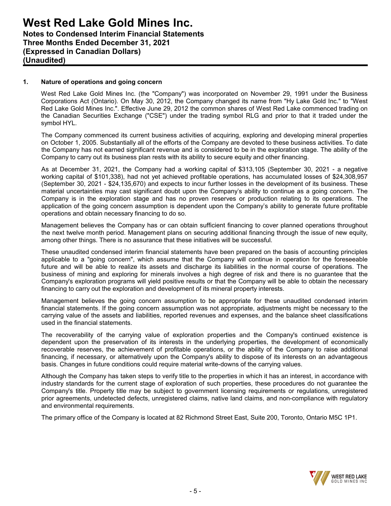## **1. Nature of operations and going concern**

West Red Lake Gold Mines Inc. (the "Company") was incorporated on November 29, 1991 under the Business Corporations Act (Ontario). On May 30, 2012, the Company changed its name from "Hy Lake Gold Inc." to "West Red Lake Gold Mines Inc.". Effective June 29, 2012 the common shares of West Red Lake commenced trading on the Canadian Securities Exchange ("CSE") under the trading symbol RLG and prior to that it traded under the symbol HYL.

The Company commenced its current business activities of acquiring, exploring and developing mineral properties on October 1, 2005. Substantially all of the efforts of the Company are devoted to these business activities. To date the Company has not earned significant revenue and is considered to be in the exploration stage. The ability of the Company to carry out its business plan rests with its ability to secure equity and other financing.

As at December 31, 2021, the Company had a working capital of \$313,105 (September 30, 2021 - a negative working capital of \$101,338), had not yet achieved profitable operations, has accumulated losses of \$24,308,957 (September 30, 2021 - \$24,135,670) and expects to incur further losses in the development of its business. These material uncertainties may cast significant doubt upon the Company's ability to continue as a going concern. The Company is in the exploration stage and has no proven reserves or production relating to its operations. The application of the going concern assumption is dependent upon the Company's ability to generate future profitable operations and obtain necessary financing to do so.

Management believes the Company has or can obtain sufficient financing to cover planned operations throughout the next twelve month period. Management plans on securing additional financing through the issue of new equity, among other things. There is no assurance that these initiatives will be successful.

These unaudited condensed interim financial statements have been prepared on the basis of accounting principles applicable to a "going concern", which assume that the Company will continue in operation for the foreseeable future and will be able to realize its assets and discharge its liabilities in the normal course of operations. The business of mining and exploring for minerals involves a high degree of risk and there is no guarantee that the Company's exploration programs will yield positive results or that the Company will be able to obtain the necessary financing to carry out the exploration and development of its mineral property interests.

Management believes the going concern assumption to be appropriate for these unaudited condensed interim financial statements. If the going concern assumption was not appropriate, adjustments might be necessary to the carrying value of the assets and liabilities, reported revenues and expenses, and the balance sheet classifications used in the financial statements.

The recoverability of the carrying value of exploration properties and the Company's continued existence is dependent upon the preservation of its interests in the underlying properties, the development of economically recoverable reserves, the achievement of profitable operations, or the ability of the Company to raise additional financing, if necessary, or alternatively upon the Company's ability to dispose of its interests on an advantageous basis. Changes in future conditions could require material write-downs of the carrying values.

Although the Company has taken steps to verify title to the properties in which it has an interest, in accordance with industry standards for the current stage of exploration of such properties, these procedures do not guarantee the Company's title. Property title may be subject to government licensing requirements or regulations, unregistered prior agreements, undetected defects, unregistered claims, native land claims, and non-compliance with regulatory and environmental requirements.

The primary office of the Company is located at 82 Richmond Street East, Suite 200, Toronto, Ontario M5C 1P1.

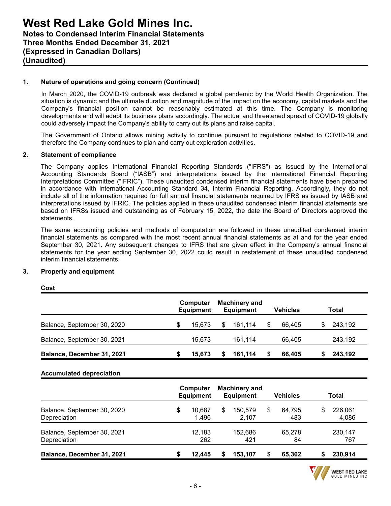## **1. Nature of operations and going concern (Continued)**

In March 2020, the COVID-19 outbreak was declared a global pandemic by the World Health Organization. The situation is dynamic and the ultimate duration and magnitude of the impact on the economy, capital markets and the Company's financial position cannot be reasonably estimated at this time. The Company is monitoring developments and will adapt its business plans accordingly. The actual and threatened spread of COVID-19 globally could adversely impact the Company's ability to carry out its plans and raise capital.

The Government of Ontario allows mining activity to continue pursuant to regulations related to COVID-19 and therefore the Company continues to plan and carry out exploration activities.

#### **2. Statement of compliance**

The Company applies International Financial Reporting Standards ("IFRS") as issued by the International Accounting Standards Board ("IASB") and interpretations issued by the International Financial Reporting Interpretations Committee ("IFRIC"). These unaudited condensed interim financial statements have been prepared in accordance with International Accounting Standard 34, Interim Financial Reporting. Accordingly, they do not include all of the information required for full annual financial statements required by IFRS as issued by IASB and interpretations issued by IFRIC. The policies applied in these unaudited condensed interim financial statements are based on IFRSs issued and outstanding as of February 15, 2022, the date the Board of Directors approved the statements.

The same accounting policies and methods of computation are followed in these unaudited condensed interim financial statements as compared with the most recent annual financial statements as at and for the year ended September 30, 2021. Any subsequent changes to IFRS that are given effect in the Company's annual financial statements for the year ending September 30, 2022 could result in restatement of these unaudited condensed interim financial statements.

#### **3. Property and equipment**

|                             |   | <b>Computer</b><br><b>Equipment</b> |     | <b>Machinery and</b><br><b>Equipment</b> | <b>Vehicles</b> |    | Total   |
|-----------------------------|---|-------------------------------------|-----|------------------------------------------|-----------------|----|---------|
| Balance, September 30, 2020 |   | 15.673                              | \$. | 161.114                                  | 66.405          | S. | 243,192 |
| Balance, September 30, 2021 |   | 15.673                              |     | 161.114                                  | 66.405          |    | 243.192 |
| Balance, December 31, 2021  | S | 15,673                              |     | 161,114                                  | 66.405          |    | 243.192 |

**Cost**

## **Accumulated depreciation**

|                                             | <b>Computer</b><br><b>Equipment</b> |   | <b>Machinery and</b><br><b>Equipment</b> |   | <b>Vehicles</b> | Total                  |
|---------------------------------------------|-------------------------------------|---|------------------------------------------|---|-----------------|------------------------|
| Balance, September 30, 2020<br>Depreciation | \$<br>10.687<br>1.496               | S | 150.579<br>2,107                         | S | 64.795<br>483   | \$<br>226,061<br>4,086 |
| Balance, September 30, 2021<br>Depreciation | 12,183<br>262                       |   | 152.686<br>421                           |   | 65,278<br>84    | 230,147<br>767         |
| Balance, December 31, 2021                  | 12.445                              |   | 153.107                                  |   | 65,362          | 230,914                |

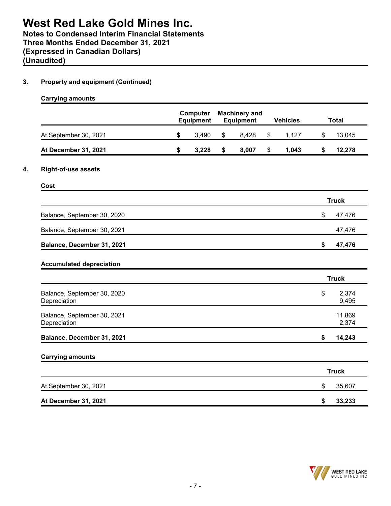**(Expressed in Canadian Dollars)**

**(Unaudited)**

## **3. Property and equipment (Continued)**

|                                             |                  | Computer |                  | <b>Machinery and</b> |                 |              |                 |
|---------------------------------------------|------------------|----------|------------------|----------------------|-----------------|--------------|-----------------|
|                                             | <b>Equipment</b> |          | <b>Equipment</b> |                      | <b>Vehicles</b> | <b>Total</b> |                 |
| At September 30, 2021                       | \$               | 3,490    | \$               | 8,428                | \$<br>1,127     | \$           | 13,045          |
| At December 31, 2021                        | \$               | 3,228    | \$               | 8,007                | \$<br>1,043     | \$           | 12,278          |
| <b>Right-of-use assets</b>                  |                  |          |                  |                      |                 |              |                 |
| Cost                                        |                  |          |                  |                      |                 |              |                 |
|                                             |                  |          |                  |                      |                 |              | <b>Truck</b>    |
| Balance, September 30, 2020                 |                  |          |                  |                      |                 | \$           | 47,476          |
| Balance, September 30, 2021                 |                  |          |                  |                      |                 |              | 47,476          |
| Balance, December 31, 2021                  |                  |          |                  |                      |                 | \$           | 47,476          |
| <b>Accumulated depreciation</b>             |                  |          |                  |                      |                 |              |                 |
|                                             |                  |          |                  |                      |                 |              | <b>Truck</b>    |
| Balance, September 30, 2020<br>Depreciation |                  |          |                  |                      |                 | \$           | 2,374<br>9,495  |
| Balance, September 30, 2021<br>Depreciation |                  |          |                  |                      |                 |              | 11,869<br>2,374 |
| Balance, December 31, 2021                  |                  |          |                  |                      |                 | \$           | 14,243          |
| <b>Carrying amounts</b>                     |                  |          |                  |                      |                 |              |                 |
|                                             |                  |          |                  |                      |                 |              | <b>Truck</b>    |
| At September 30, 2021                       |                  |          |                  |                      |                 | \$           | 35,607          |
| At December 31, 2021                        |                  |          |                  |                      |                 | \$           | 33,233          |

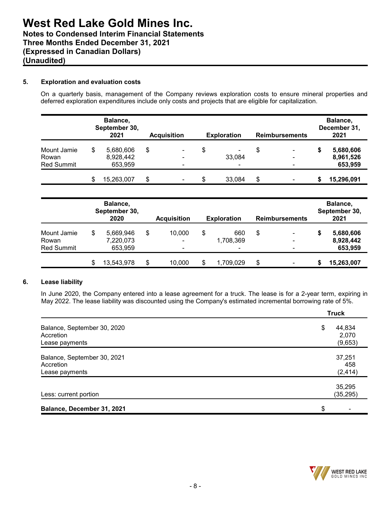## **5. Exploration and evaluation costs**

On a quarterly basis, management of the Company reviews exploration costs to ensure mineral properties and deferred exploration expenditures include only costs and projects that are eligible for capitalization.

|                   |    | Balance,<br>September 30,<br>2021 | <b>Acquisition</b>       | <b>Exploration</b> |    | <b>Reimbursements</b> |   | Balance,<br>December 31,<br>2021 |
|-------------------|----|-----------------------------------|--------------------------|--------------------|----|-----------------------|---|----------------------------------|
| Mount Jamie       | \$ | 5,680,606                         | \$<br>۰                  | \$<br>-            | S  | $\blacksquare$        | 5 | 5,680,606                        |
| Rowan             |    | 8,928,442                         | $\blacksquare$           | 33,084             |    | $\blacksquare$        |   | 8,961,526                        |
| <b>Red Summit</b> |    | 653,959                           | $\overline{\phantom{a}}$ | ۰                  |    | -                     |   | 653,959                          |
|                   | S  | 15,263,007                        | \$<br>۰                  | \$<br>33,084       | \$ |                       |   | 15,296,091                       |

|                   | Balance,<br>September 30,<br>2020 | <b>Acquisition</b>       |     | <b>Exploration</b> | <b>Reimbursements</b> |   | Balance,<br>September 30,<br>2021 |
|-------------------|-----------------------------------|--------------------------|-----|--------------------|-----------------------|---|-----------------------------------|
| Mount Jamie       | \$<br>5,669,946                   | \$<br>10,000             | \$  | 660                | \$                    | S | 5,680,606                         |
| Rowan             | 7,220,073                         | $\blacksquare$           |     | 1,708,369          |                       |   | 8,928,442                         |
| <b>Red Summit</b> | 653,959                           | $\overline{\phantom{0}}$ |     | $\blacksquare$     |                       |   | 653,959                           |
|                   | \$<br>13,543,978                  | \$<br>10.000             | \$. | 1,709,029          | \$                    | S | 15,263,007                        |

#### **6. Lease liability**

In June 2020, the Company entered into a lease agreement for a truck. The lease is for a 2-year term, expiring in May 2022. The lease liability was discounted using the Company's estimated incremental borrowing rate of 5%.

|                                                            | <b>Truck</b>                     |
|------------------------------------------------------------|----------------------------------|
| Balance, September 30, 2020<br>Accretion<br>Lease payments | \$<br>44,834<br>2,070<br>(9,653) |
| Balance, September 30, 2021<br>Accretion<br>Lease payments | 37,251<br>458<br>(2, 414)        |
| Less: current portion                                      | 35,295<br>(35, 295)              |
| Balance, December 31, 2021                                 | \$                               |

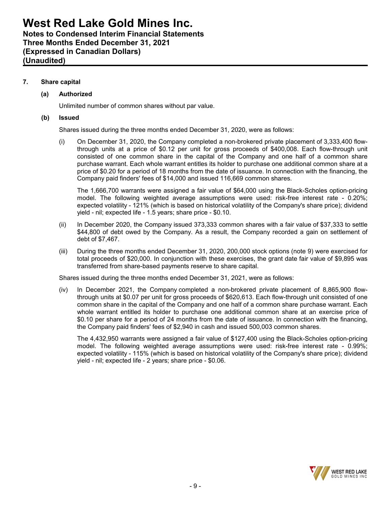**Notes to Condensed Interim Financial Statements Three Months Ended December 31, 2021 (Expressed in Canadian Dollars) (Unaudited)**

## **7. Share capital**

## **(a) Authorized**

Unlimited number of common shares without par value.

### **(b) Issued**

Shares issued during the three months ended December 31, 2020, were as follows:

(i) On December 31, 2020, the Company completed a non-brokered private placement of 3,333,400 flowthrough units at a price of \$0.12 per unit for gross proceeds of \$400,008. Each flow-through unit consisted of one common share in the capital of the Company and one half of a common share purchase warrant. Each whole warrant entitles its holder to purchase one additional common share at a price of \$0.20 for a period of 18 months from the date of issuance. In connection with the financing, the Company paid finders' fees of \$14,000 and issued 116,669 common shares.

The 1,666,700 warrants were assigned a fair value of \$64,000 using the Black-Scholes option-pricing model. The following weighted average assumptions were used: risk-free interest rate - 0.20%; expected volatility - 121% (which is based on historical volatility of the Company's share price); dividend yield - nil; expected life - 1.5 years; share price - \$0.10.

- (ii) In December 2020, the Company issued 373,333 common shares with a fair value of \$37,333 to settle \$44,800 of debt owed by the Company. As a result, the Company recorded a gain on settlement of debt of \$7,467.
- (iii) During the three months ended December 31, 2020, 200,000 stock options (note 9) were exercised for total proceeds of \$20,000. In conjunction with these exercises, the grant date fair value of \$9,895 was transferred from share-based payments reserve to share capital.

Shares issued during the three months ended December 31, 2021, were as follows:

(iv) In December 2021, the Company completed a non-brokered private placement of 8,865,900 flowthrough units at \$0.07 per unit for gross proceeds of \$620,613. Each flow-through unit consisted of one common share in the capital of the Company and one half of a common share purchase warrant. Each whole warrant entitled its holder to purchase one additional common share at an exercise price of \$0.10 per share for a period of 24 months from the date of issuance. In connection with the financing, the Company paid finders' fees of \$2,940 in cash and issued 500,003 common shares.

The 4,432,950 warrants were assigned a fair value of \$127,400 using the Black-Scholes option-pricing model. The following weighted average assumptions were used: risk-free interest rate - 0.99%; expected volatility - 115% (which is based on historical volatility of the Company's share price); dividend yield - nil; expected life - 2 years; share price - \$0.06.

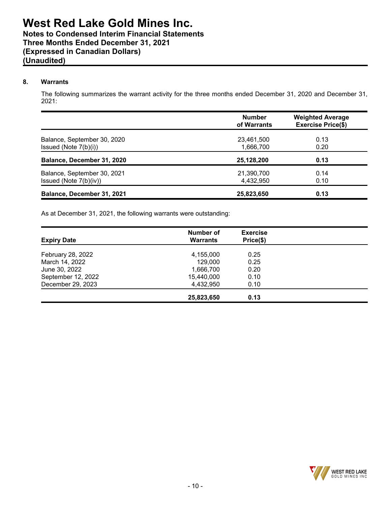## **8. Warrants**

The following summarizes the warrant activity for the three months ended December 31, 2020 and December 31, 2021:

|                                                       | <b>Number</b><br>of Warrants | <b>Weighted Average</b><br><b>Exercise Price(\$)</b> |
|-------------------------------------------------------|------------------------------|------------------------------------------------------|
| Balance, September 30, 2020<br>Issued (Note 7(b)(i))  | 23,461,500<br>1,666,700      | 0.13<br>0.20                                         |
| Balance, December 31, 2020                            | 25,128,200                   | 0.13                                                 |
| Balance, September 30, 2021<br>Issued (Note 7(b)(iv)) | 21,390,700<br>4.432.950      | 0.14<br>0.10                                         |
| Balance, December 31, 2021                            | 25,823,650                   | 0.13                                                 |

As at December 31, 2021, the following warrants were outstanding:

| <b>Expiry Date</b> | Number of<br><b>Warrants</b> | <b>Exercise</b><br>Price(\$) |  |
|--------------------|------------------------------|------------------------------|--|
| February 28, 2022  | 4,155,000                    | 0.25                         |  |
| March 14, 2022     | 129,000                      | 0.25                         |  |
| June 30, 2022      | 1,666,700                    | 0.20                         |  |
| September 12, 2022 | 15,440,000                   | 0.10                         |  |
| December 29, 2023  | 4,432,950                    | 0.10                         |  |
|                    | 25,823,650                   | 0.13                         |  |

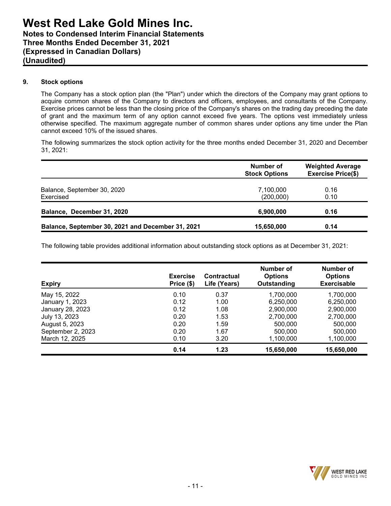## **9. Stock options**

The Company has a stock option plan (the "Plan") under which the directors of the Company may grant options to acquire common shares of the Company to directors and officers, employees, and consultants of the Company. Exercise prices cannot be less than the closing price of the Company's shares on the trading day preceding the date of grant and the maximum term of any option cannot exceed five years. The options vest immediately unless otherwise specified. The maximum aggregate number of common shares under options any time under the Plan cannot exceed 10% of the issued shares.

The following summarizes the stock option activity for the three months ended December 31, 2020 and December 31, 2021:

|                                                   | Number of<br><b>Stock Options</b> | <b>Weighted Average</b><br><b>Exercise Price(\$)</b> |
|---------------------------------------------------|-----------------------------------|------------------------------------------------------|
| Balance, September 30, 2020<br>Exercised          | 7,100,000<br>(200,000)            | 0.16<br>0.10                                         |
| Balance, December 31, 2020                        | 6,900,000                         | 0.16                                                 |
| Balance, September 30, 2021 and December 31, 2021 | 15,650,000                        | 0.14                                                 |

The following table provides additional information about outstanding stock options as at December 31, 2021:

| <b>Expiry</b>     | <b>Exercise</b><br>Price (\$) | <b>Contractual</b><br>Life (Years) | Number of<br><b>Options</b><br>Outstanding | Number of<br><b>Options</b><br><b>Exercisable</b> |
|-------------------|-------------------------------|------------------------------------|--------------------------------------------|---------------------------------------------------|
| May 15, 2022      | 0.10                          | 0.37                               | 1,700,000                                  | 1,700,000                                         |
| January 1, 2023   | 0.12                          | 1.00                               | 6,250,000                                  | 6,250,000                                         |
| January 28, 2023  | 0.12                          | 1.08                               | 2,900,000                                  | 2,900,000                                         |
| July 13, 2023     | 0.20                          | 1.53                               | 2,700,000                                  | 2,700,000                                         |
| August 5, 2023    | 0.20                          | 1.59                               | 500,000                                    | 500,000                                           |
| September 2, 2023 | 0.20                          | 1.67                               | 500,000                                    | 500,000                                           |
| March 12, 2025    | 0.10                          | 3.20                               | 1,100,000                                  | 1,100,000                                         |
|                   | 0.14                          | 1.23                               | 15,650,000                                 | 15,650,000                                        |

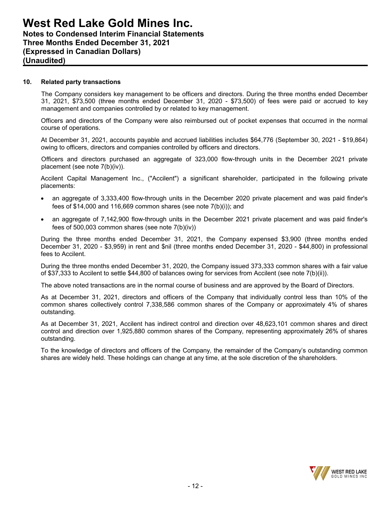#### **10. Related party transactions**

The Company considers key management to be officers and directors. During the three months ended December 31, 2021, \$73,500 (three months ended December 31, 2020 - \$73,500) of fees were paid or accrued to key management and companies controlled by or related to key management.

Officers and directors of the Company were also reimbursed out of pocket expenses that occurred in the normal course of operations.

At December 31, 2021, accounts payable and accrued liabilities includes \$64,776 (September 30, 2021 - \$19,864) owing to officers, directors and companies controlled by officers and directors.

Officers and directors purchased an aggregate of 323,000 flow-through units in the December 2021 private placement (see note 7(b)(iv)).

Accilent Capital Management Inc., ("Accilent") a significant shareholder, participated in the following private placements:

- an aggregate of 3,333,400 flow-through units in the December 2020 private placement and was paid finder's fees of \$14,000 and 116,669 common shares (see note 7(b)(i)); and
- an aggregate of 7,142,900 flow-through units in the December 2021 private placement and was paid finder's fees of 500,003 common shares (see note 7(b)(iv))

During the three months ended December 31, 2021, the Company expensed \$3,900 (three months ended December 31, 2020 - \$3,959) in rent and \$nil (three months ended December 31, 2020 - \$44,800) in professional fees to Accilent.

During the three months ended December 31, 2020, the Company issued 373,333 common shares with a fair value of \$37,333 to Accilent to settle \$44,800 of balances owing for services from Accilent (see note 7(b)(ii)).

The above noted transactions are in the normal course of business and are approved by the Board of Directors.

As at December 31, 2021, directors and officers of the Company that individually control less than 10% of the common shares collectively control 7,338,586 common shares of the Company or approximately 4% of shares outstanding.

As at December 31, 2021, Accilent has indirect control and direction over 48,623,101 common shares and direct control and direction over 1,925,880 common shares of the Company, representing approximately 26% of shares outstanding.

To the knowledge of directors and officers of the Company, the remainder of the Company's outstanding common shares are widely held. These holdings can change at any time, at the sole discretion of the shareholders.